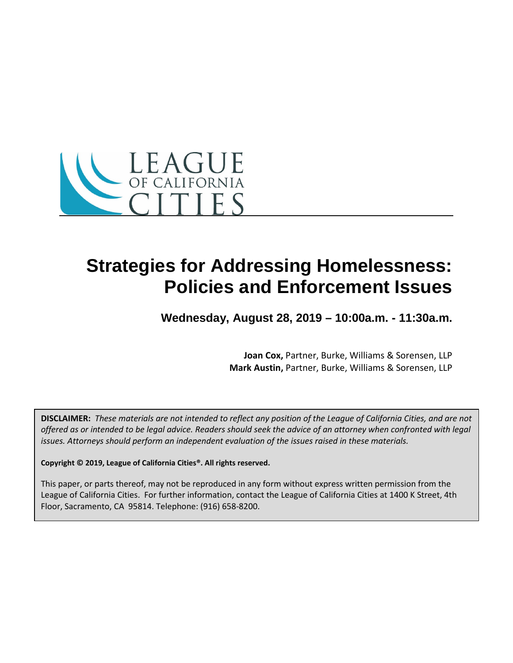

## **Strategies for Addressing Homelessness: Policies and Enforcement Issues**

**Wednesday, August 28, 2019 – 10:00a.m. - 11:30a.m.**

**Joan Cox,** Partner, Burke, Williams & Sorensen, LLP **Mark Austin,** Partner, Burke, Williams & Sorensen, LLP

**DISCLAIMER:** *These materials are not intended to reflect any position of the League of California Cities, and are not offered as or intended to be legal advice. Readers should seek the advice of an attorney when confronted with legal issues. Attorneys should perform an independent evaluation of the issues raised in these materials.*

**Copyright © 2019, League of California Cities®. All rights reserved.**

This paper, or parts thereof, may not be reproduced in any form without express written permission from the League of California Cities. For further information, contact the League of California Cities at 1400 K Street, 4th Floor, Sacramento, CA 95814. Telephone: (916) 658-8200.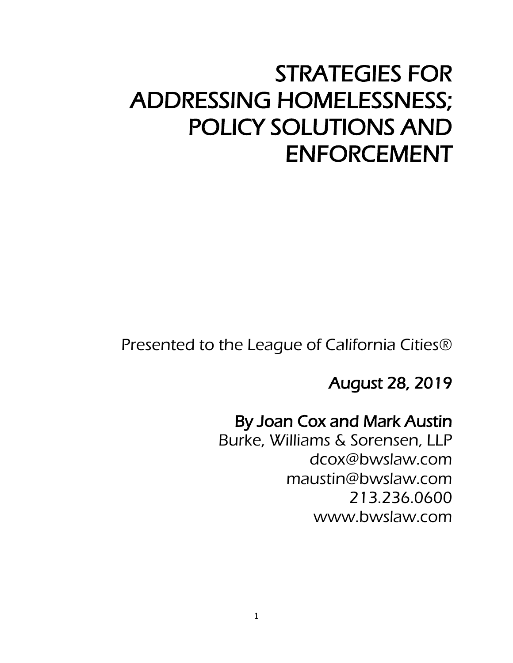# STRATEGIES FOR ADDRESSING HOMELESSNESS; POLICY SOLUTIONS AND ENFORCEMENT

Presented to the League of California Cities®

August 28, 2019

#### By Joan Cox and Mark Austin

Burke, Williams & Sorensen, LLP dcox@bwslaw.com maustin@bwslaw.com 213.236.0600 www.bwslaw.com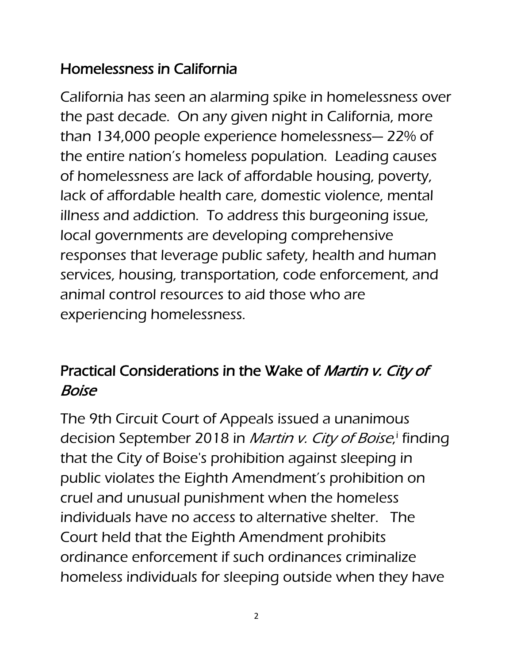## Homelessness in California

California has seen an alarming spike in homelessness over the past decade. On any given night in California, more than 134,000 people experience homelessness— 22% of the entire nation's homeless population. Leading causes of homelessness are lack of affordable housing, poverty, lack of affordable health care, domestic violence, mental illness and addiction. To address this burgeoning issue, local governments are developing comprehensive responses that leverage public safety, health and human services, housing, transportation, code enforcement, and animal control resources to aid those who are experiencing homelessness.

## Practical Considerations in the Wake of Martin v. City of Boise

The 9th Circuit Court of Appeals issued a unanimous dec[i](#page-16-0)sion September 2018 in *Martin v. City of Boise*,<sup>i</sup> finding that the City of Boise's prohibition against sleeping in public violates the Eighth Amendment's prohibition on cruel and unusual punishment when the homeless individuals have no access to alternative shelter. The Court held that the Eighth Amendment prohibits ordinance enforcement if such ordinances criminalize homeless individuals for sleeping outside when they have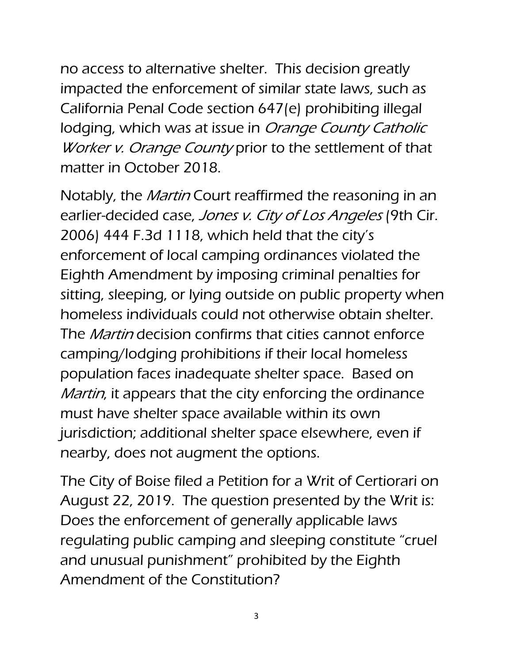no access to alternative shelter. This decision greatly impacted the enforcement of similar state laws, such as California Penal Code section 647(e) prohibiting illegal lodging, which was at issue in Orange County Catholic Worker v. Orange County prior to the settlement of that matter in October 2018.

Notably, the *Martin* Court reaffirmed the reasoning in an earlier-decided case, Jones v. City of Los Angeles (9th Cir. 2006) 444 F.3d 1118, which held that the city's enforcement of local camping ordinances violated the Eighth Amendment by imposing criminal penalties for sitting, sleeping, or lying outside on public property when homeless individuals could not otherwise obtain shelter. The *Martin* decision confirms that cities cannot enforce camping/lodging prohibitions if their local homeless population faces inadequate shelter space. Based on *Martin*, it appears that the city enforcing the ordinance must have shelter space available within its own jurisdiction; additional shelter space elsewhere, even if nearby, does not augment the options.

The City of Boise filed a Petition for a Writ of Certiorari on August 22, 2019. The question presented by the Writ is: Does the enforcement of generally applicable laws regulating public camping and sleeping constitute "cruel and unusual punishment" prohibited by the Eighth Amendment of the Constitution?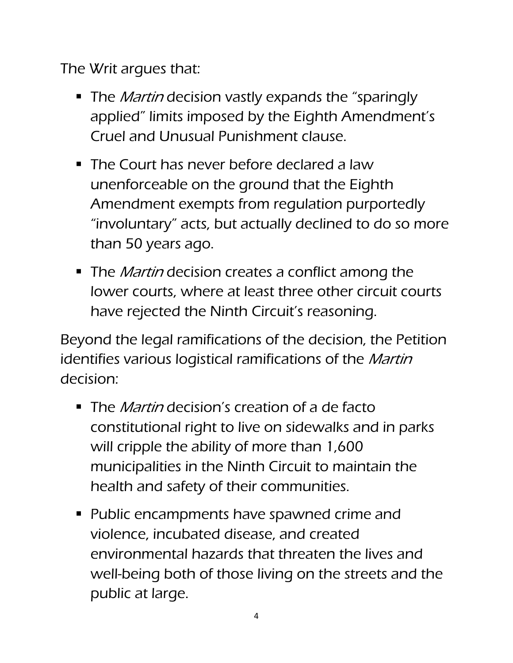The Writ argues that:

- The *Martin* decision vastly expands the "sparingly" applied" limits imposed by the Eighth Amendment's Cruel and Unusual Punishment clause.
- The Court has never before declared a law unenforceable on the ground that the Eighth Amendment exempts from regulation purportedly "involuntary" acts, but actually declined to do so more than 50 years ago.
- The *Martin* decision creates a conflict among the lower courts, where at least three other circuit courts have rejected the Ninth Circuit's reasoning.

Beyond the legal ramifications of the decision, the Petition identifies various logistical ramifications of the *Martin* decision:

- The *Martin* decision's creation of a de facto constitutional right to live on sidewalks and in parks will cripple the ability of more than 1,600 municipalities in the Ninth Circuit to maintain the health and safety of their communities.
- **Public encampments have spawned crime and** violence, incubated disease, and created environmental hazards that threaten the lives and well-being both of those living on the streets and the public at large.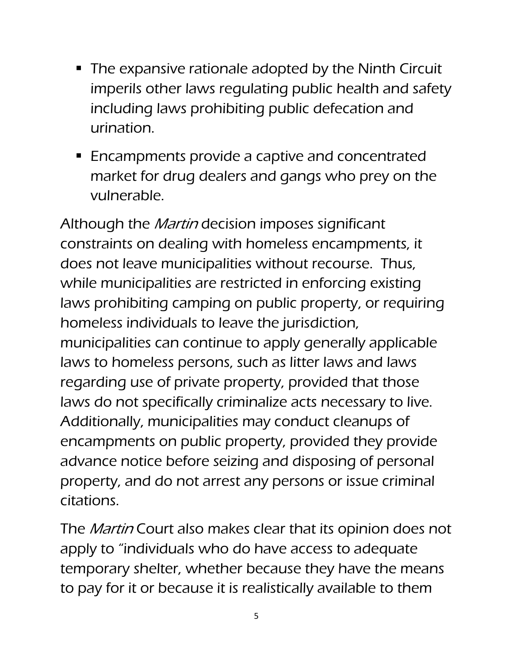- The expansive rationale adopted by the Ninth Circuit imperils other laws regulating public health and safety including laws prohibiting public defecation and urination.
- **Encampments provide a captive and concentrated** market for drug dealers and gangs who prey on the vulnerable.

Although the *Martin* decision imposes significant constraints on dealing with homeless encampments, it does not leave municipalities without recourse. Thus, while municipalities are restricted in enforcing existing laws prohibiting camping on public property, or requiring homeless individuals to leave the jurisdiction, municipalities can continue to apply generally applicable laws to homeless persons, such as litter laws and laws regarding use of private property, provided that those laws do not specifically criminalize acts necessary to live. Additionally, municipalities may conduct cleanups of encampments on public property, provided they provide advance notice before seizing and disposing of personal property, and do not arrest any persons or issue criminal citations.

The *Martin* Court also makes clear that its opinion does not apply to "individuals who do have access to adequate temporary shelter, whether because they have the means to pay for it or because it is realistically available to them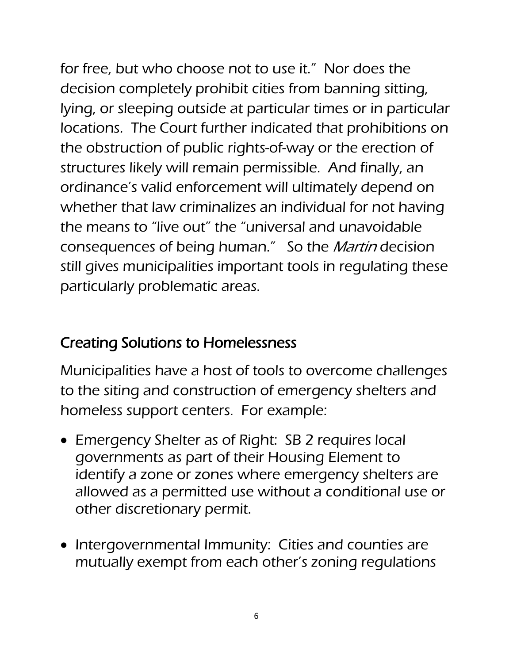for free, but who choose not to use it." Nor does the decision completely prohibit cities from banning sitting, lying, or sleeping outside at particular times or in particular locations. The Court further indicated that prohibitions on the obstruction of public rights-of-way or the erection of structures likely will remain permissible. And finally, an ordinance's valid enforcement will ultimately depend on whether that law criminalizes an individual for not having the means to "live out" the "universal and unavoidable consequences of being human." So the Martin decision still gives municipalities important tools in regulating these particularly problematic areas.

#### Creating Solutions to Homelessness

Municipalities have a host of tools to overcome challenges to the siting and construction of emergency shelters and homeless support centers. For example:

- Emergency Shelter as of Right: SB 2 requires local governments as part of their Housing Element to identify a zone or zones where emergency shelters are allowed as a permitted use without a conditional use or other discretionary permit.
- Intergovernmental Immunity: Cities and counties are mutually exempt from each other's zoning regulations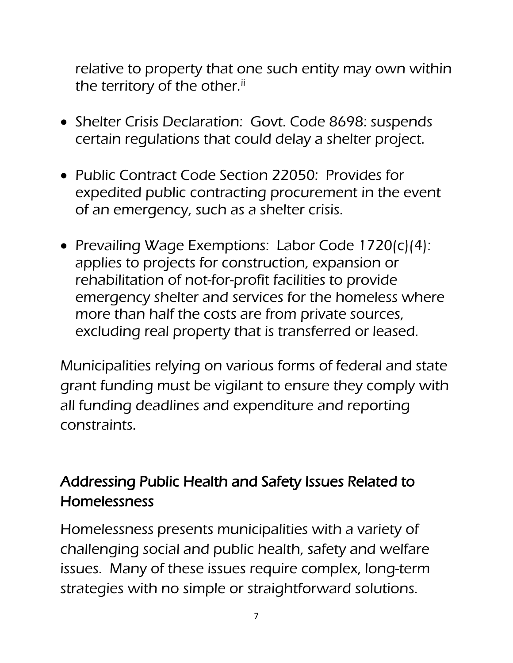relative to property that one such entity may own within the territory of the other.<sup>[ii](#page-16-1)</sup>

- Shelter Crisis Declaration: Govt. Code 8698: suspends certain regulations that could delay a shelter project.
- Public Contract Code Section 22050: Provides for expedited public contracting procurement in the event of an emergency, such as a shelter crisis.
- Prevailing Wage Exemptions: Labor Code 1720(c)(4): applies to projects for construction, expansion or rehabilitation of not-for-profit facilities to provide emergency shelter and services for the homeless where more than half the costs are from private sources, excluding real property that is transferred or leased.

Municipalities relying on various forms of federal and state grant funding must be vigilant to ensure they comply with all funding deadlines and expenditure and reporting constraints.

## Addressing Public Health and Safety Issues Related to Homelessness

Homelessness presents municipalities with a variety of challenging social and public health, safety and welfare issues. Many of these issues require complex, long-term strategies with no simple or straightforward solutions.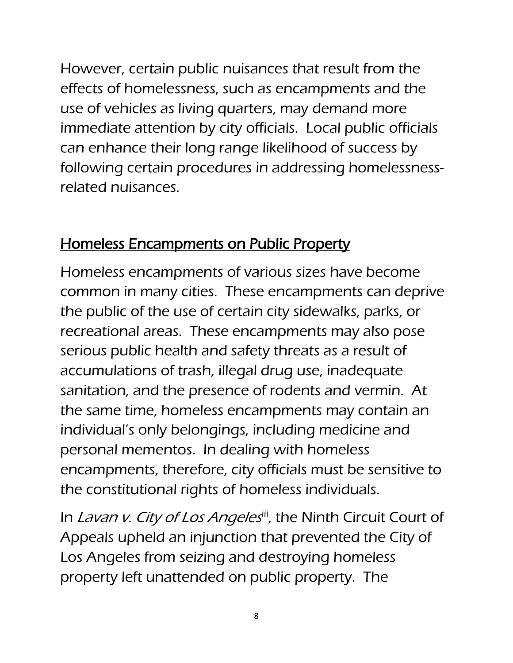However, certain public nuisances that result from the effects of homelessness, such as encampments and the use of vehicles as living quarters, may demand more immediate attention by city officials. Local public officials can enhance their long range likelihood of success by following certain procedures in addressing homelessnessrelated nuisances.

#### Homeless Encampments on Public Property

Homeless encampments of various sizes have become common in many cities. These encampments can deprive the public of the use of certain city sidewalks, parks, or recreational areas. These encampments may also pose serious public health and safety threats as a result of accumulations of trash, illegal drug use, inadequate sanitation, and the presence of rodents and vermin. At the same time, homeless encampments may contain an individual's only belongings, including medicine and personal mementos. In dealing with homeless encampments, therefore, city officials must be sensitive to the constitutional rights of homeless individuals.

In Lavan v. City of Los Angelesii, the Ninth Circuit Court of Appeals upheld an injunction that prevented the City of Los Angeles from seizing and destroying homeless property left unattended on public property. The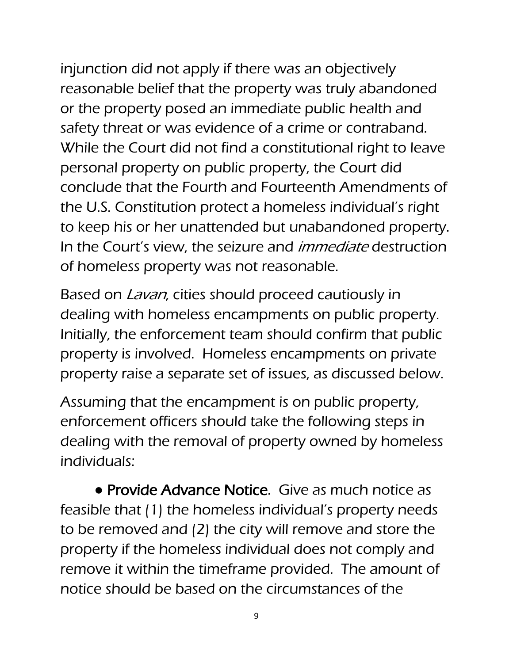injunction did not apply if there was an objectively reasonable belief that the property was truly abandoned or the property posed an immediate public health and safety threat or was evidence of a crime or contraband. While the Court did not find a constitutional right to leave personal property on public property, the Court did conclude that the Fourth and Fourteenth Amendments of the U.S. Constitution protect a homeless individual's right to keep his or her unattended but unabandoned property. In the Court's view, the seizure and *immediate* destruction of homeless property was not reasonable.

Based on *Lavan*, cities should proceed cautiously in dealing with homeless encampments on public property. Initially, the enforcement team should confirm that public property is involved. Homeless encampments on private property raise a separate set of issues, as discussed below.

Assuming that the encampment is on public property, enforcement officers should take the following steps in dealing with the removal of property owned by homeless individuals:

• Provide Advance Notice. Give as much notice as feasible that (1) the homeless individual's property needs to be removed and (2) the city will remove and store the property if the homeless individual does not comply and remove it within the timeframe provided. The amount of notice should be based on the circumstances of the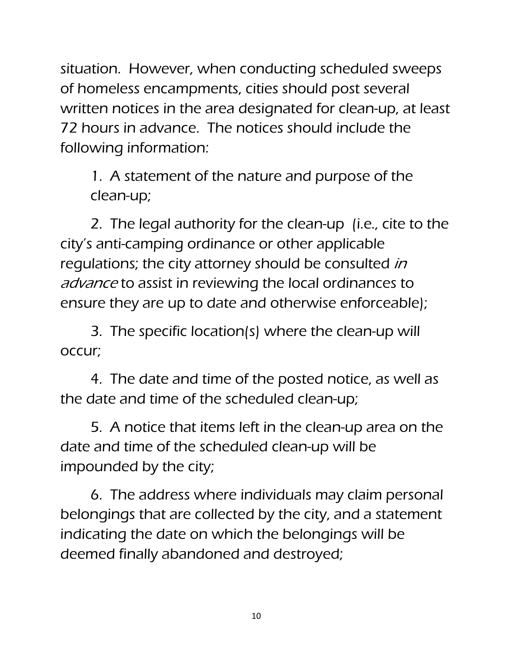situation. However, when conducting scheduled sweeps of homeless encampments, cities should post several written notices in the area designated for clean-up, at least 72 hours in advance. The notices should include the following information:

1. A statement of the nature and purpose of the clean-up;

2. The legal authority for the clean-up (i.e., cite to the city's anti-camping ordinance or other applicable regulations; the city attorney should be consulted in advance to assist in reviewing the local ordinances to ensure they are up to date and otherwise enforceable);

3. The specific location(s) where the clean-up will occur;

4. The date and time of the posted notice, as well as the date and time of the scheduled clean-up;

5. A notice that items left in the clean-up area on the date and time of the scheduled clean-up will be impounded by the city;

6. The address where individuals may claim personal belongings that are collected by the city, and a statement indicating the date on which the belongings will be deemed finally abandoned and destroyed;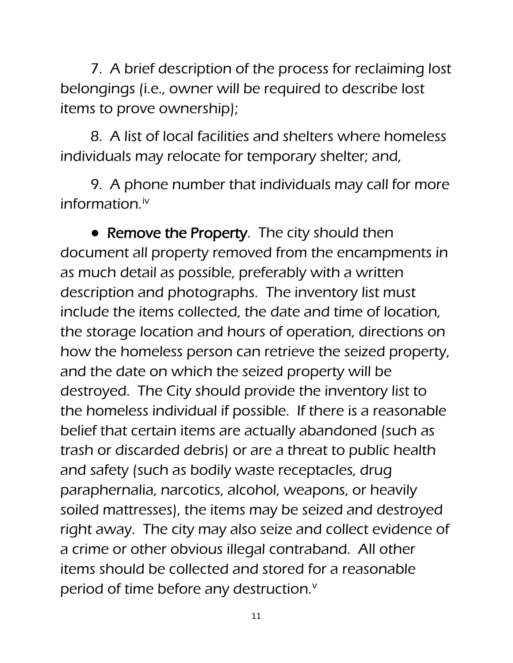7. A brief description of the process for reclaiming lost belongings (i.e., owner will be required to describe lost items to prove ownership);

8. A list of local facilities and shelters where homeless individuals may relocate for temporary shelter; and,

9. A phone number that individuals may call for more information.<sup>[iv](#page-16-3)</sup>

• Remove the Property. The city should then document all property removed from the encampments in as much detail as possible, preferably with a written description and photographs. The inventory list must include the items collected, the date and time of location, the storage location and hours of operation, directions on how the homeless person can retrieve the seized property, and the date on which the seized property will be destroyed. The City should provide the inventory list to the homeless individual if possible. If there is a reasonable belief that certain items are actually abandoned (such as trash or discarded debris) or are a threat to public health and safety (such as bodily waste receptacles, drug paraphernalia, narcotics, alcohol, weapons, or heavily soiled mattresses), the items may be seized and destroyed right away. The city may also seize and collect evidence of a crime or other obvious illegal contraband. All other items should be collected and stored for a reasonable period of time before any destruction.<sup>[v](#page-16-4)</sup>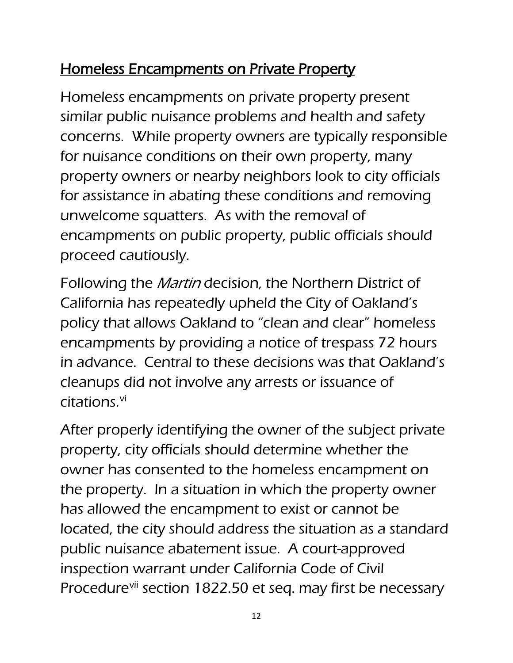## Homeless Encampments on Private Property

Homeless encampments on private property present similar public nuisance problems and health and safety concerns. While property owners are typically responsible for nuisance conditions on their own property, many property owners or nearby neighbors look to city officials for assistance in abating these conditions and removing unwelcome squatters. As with the removal of encampments on public property, public officials should proceed cautiously.

Following the *Martin* decision, the Northern District of California has repeatedly upheld the City of Oakland's policy that allows Oakland to "clean and clear" homeless encampments by providing a notice of trespass 72 hours in advance. Central to these decisions was that Oakland's cleanups did not involve any arrests or issuance of citations.[vi](#page-16-5)

After properly identifying the owner of the subject private property, city officials should determine whether the owner has consented to the homeless encampment on the property. In a situation in which the property owner has allowed the encampment to exist or cannot be located, the city should address the situation as a standard public nuisance abatement issue. A court-approved inspection warrant under California Code of Civil Procedure<sup>[vii](#page-16-6)</sup> section 1822.50 et seq. may first be necessary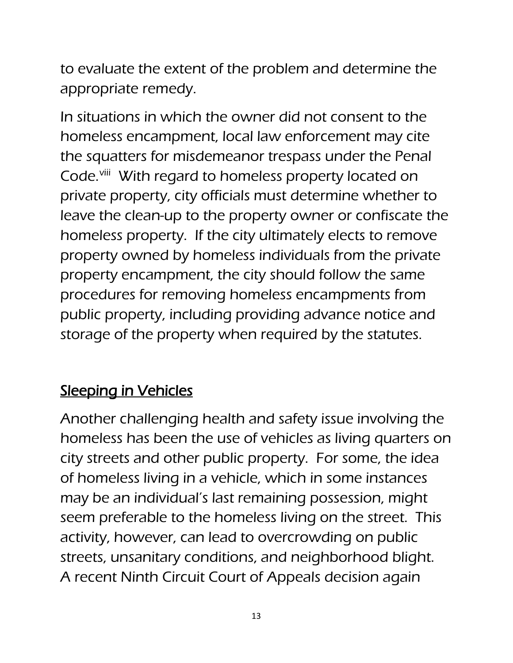to evaluate the extent of the problem and determine the appropriate remedy.

In situations in which the owner did not consent to the homeless encampment, local law enforcement may cite the squatters for misdemeanor trespass under the Penal Code.<sup>[viii](#page-16-7)</sup> With regard to homeless property located on private property, city officials must determine whether to leave the clean-up to the property owner or confiscate the homeless property. If the city ultimately elects to remove property owned by homeless individuals from the private property encampment, the city should follow the same procedures for removing homeless encampments from public property, including providing advance notice and storage of the property when required by the statutes.

## Sleeping in Vehicles

Another challenging health and safety issue involving the homeless has been the use of vehicles as living quarters on city streets and other public property. For some, the idea of homeless living in a vehicle, which in some instances may be an individual's last remaining possession, might seem preferable to the homeless living on the street. This activity, however, can lead to overcrowding on public streets, unsanitary conditions, and neighborhood blight. A recent Ninth Circuit Court of Appeals decision again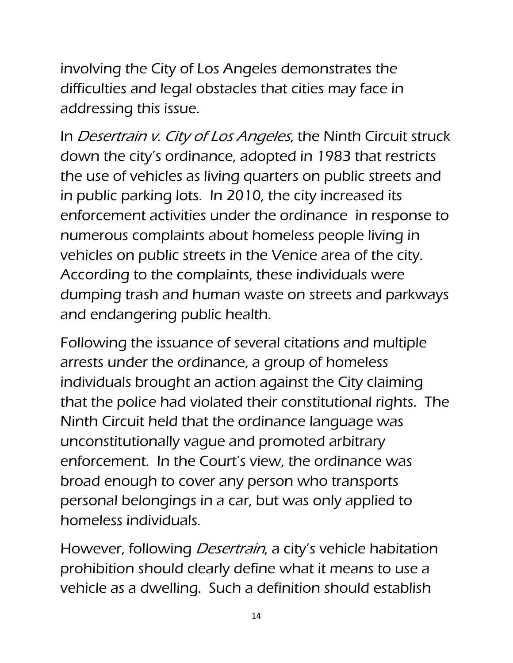involving the City of Los Angeles demonstrates the difficulties and legal obstacles that cities may face in addressing this issue.

In *Desertrain v. City of Los Angeles*, the Ninth Circuit struck down the city's ordinance, adopted in 1983 that restricts the use of vehicles as living quarters on public streets and in public parking lots. In 2010, the city increased its enforcement activities under the ordinance in response to numerous complaints about homeless people living in vehicles on public streets in the Venice area of the city. According to the complaints, these individuals were dumping trash and human waste on streets and parkways and endangering public health.

Following the issuance of several citations and multiple arrests under the ordinance, a group of homeless individuals brought an action against the City claiming that the police had violated their constitutional rights. The Ninth Circuit held that the ordinance language was unconstitutionally vague and promoted arbitrary enforcement. In the Court's view, the ordinance was broad enough to cover any person who transports personal belongings in a car, but was only applied to homeless individuals.

However, following *Desertrain*, a city's vehicle habitation prohibition should clearly define what it means to use a vehicle as a dwelling. Such a definition should establish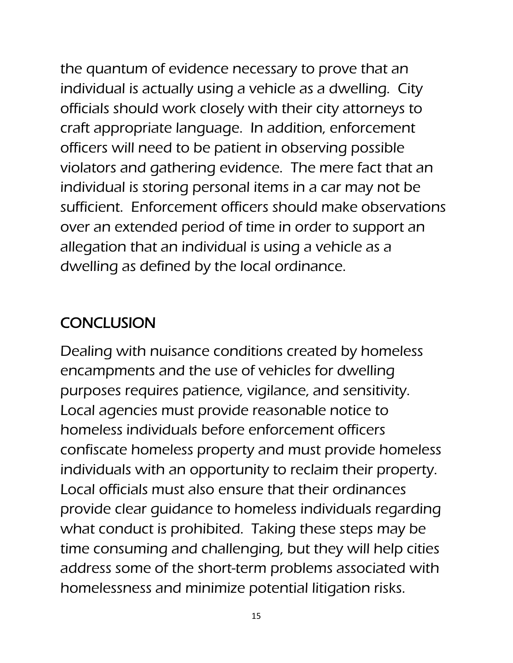the quantum of evidence necessary to prove that an individual is actually using a vehicle as a dwelling. City officials should work closely with their city attorneys to craft appropriate language. In addition, enforcement officers will need to be patient in observing possible violators and gathering evidence. The mere fact that an individual is storing personal items in a car may not be sufficient. Enforcement officers should make observations over an extended period of time in order to support an allegation that an individual is using a vehicle as a dwelling as defined by the local ordinance.

### **CONCLUSION**

Dealing with nuisance conditions created by homeless encampments and the use of vehicles for dwelling purposes requires patience, vigilance, and sensitivity. Local agencies must provide reasonable notice to homeless individuals before enforcement officers confiscate homeless property and must provide homeless individuals with an opportunity to reclaim their property. Local officials must also ensure that their ordinances provide clear guidance to homeless individuals regarding what conduct is prohibited. Taking these steps may be time consuming and challenging, but they will help cities address some of the short-term problems associated with homelessness and minimize potential litigation risks.